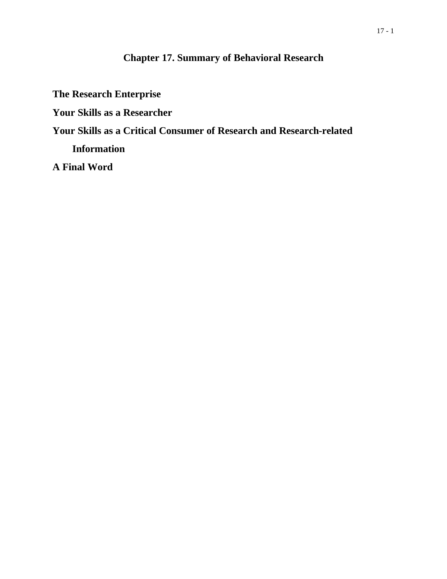# **Chapter 17. Summary of Behavioral Research**

**The Research Enterprise**

**Your Skills as a Researcher**

**Your Skills as a Critical Consumer of Research and Research-related** 

**Information**

**A Final Word**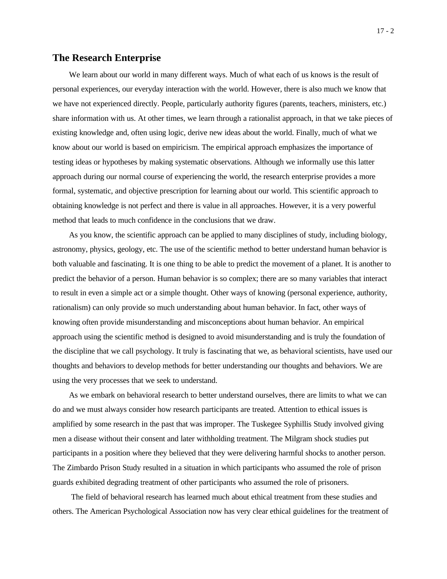### **The Research Enterprise**

We learn about our world in many different ways. Much of what each of us knows is the result of personal experiences, our everyday interaction with the world. However, there is also much we know that we have not experienced directly. People, particularly authority figures (parents, teachers, ministers, etc.) share information with us. At other times, we learn through a rationalist approach, in that we take pieces of existing knowledge and, often using logic, derive new ideas about the world. Finally, much of what we know about our world is based on empiricism. The empirical approach emphasizes the importance of testing ideas or hypotheses by making systematic observations. Although we informally use this latter approach during our normal course of experiencing the world, the research enterprise provides a more formal, systematic, and objective prescription for learning about our world. This scientific approach to obtaining knowledge is not perfect and there is value in all approaches. However, it is a very powerful method that leads to much confidence in the conclusions that we draw.

As you know, the scientific approach can be applied to many disciplines of study, including biology, astronomy, physics, geology, etc. The use of the scientific method to better understand human behavior is both valuable and fascinating. It is one thing to be able to predict the movement of a planet. It is another to predict the behavior of a person. Human behavior is so complex; there are so many variables that interact to result in even a simple act or a simple thought. Other ways of knowing (personal experience, authority, rationalism) can only provide so much understanding about human behavior. In fact, other ways of knowing often provide misunderstanding and misconceptions about human behavior. An empirical approach using the scientific method is designed to avoid misunderstanding and is truly the foundation of the discipline that we call psychology. It truly is fascinating that we, as behavioral scientists, have used our thoughts and behaviors to develop methods for better understanding our thoughts and behaviors. We are using the very processes that we seek to understand.

As we embark on behavioral research to better understand ourselves, there are limits to what we can do and we must always consider how research participants are treated. Attention to ethical issues is amplified by some research in the past that was improper. The Tuskegee Syphillis Study involved giving men a disease without their consent and later withholding treatment. The Milgram shock studies put participants in a position where they believed that they were delivering harmful shocks to another person. The Zimbardo Prison Study resulted in a situation in which participants who assumed the role of prison guards exhibited degrading treatment of other participants who assumed the role of prisoners.

The field of behavioral research has learned much about ethical treatment from these studies and others. The American Psychological Association now has very clear ethical guidelines for the treatment of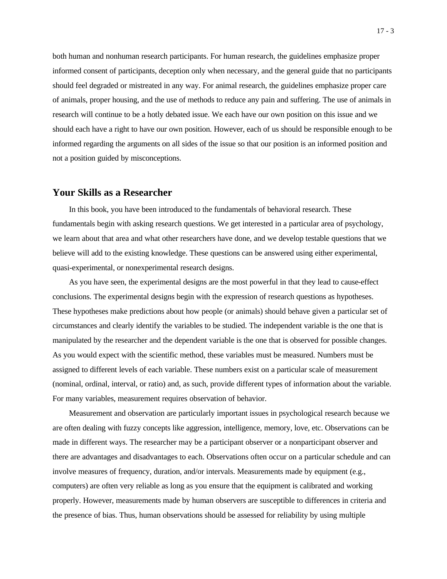both human and nonhuman research participants. For human research, the guidelines emphasize proper informed consent of participants, deception only when necessary, and the general guide that no participants should feel degraded or mistreated in any way. For animal research, the guidelines emphasize proper care of animals, proper housing, and the use of methods to reduce any pain and suffering. The use of animals in research will continue to be a hotly debated issue. We each have our own position on this issue and we should each have a right to have our own position. However, each of us should be responsible enough to be informed regarding the arguments on all sides of the issue so that our position is an informed position and not a position guided by misconceptions.

#### **Your Skills as a Researcher**

In this book, you have been introduced to the fundamentals of behavioral research. These fundamentals begin with asking research questions. We get interested in a particular area of psychology, we learn about that area and what other researchers have done, and we develop testable questions that we believe will add to the existing knowledge. These questions can be answered using either experimental, quasi-experimental, or nonexperimental research designs.

As you have seen, the experimental designs are the most powerful in that they lead to cause-effect conclusions. The experimental designs begin with the expression of research questions as hypotheses. These hypotheses make predictions about how people (or animals) should behave given a particular set of circumstances and clearly identify the variables to be studied. The independent variable is the one that is manipulated by the researcher and the dependent variable is the one that is observed for possible changes. As you would expect with the scientific method, these variables must be measured. Numbers must be assigned to different levels of each variable. These numbers exist on a particular scale of measurement (nominal, ordinal, interval, or ratio) and, as such, provide different types of information about the variable. For many variables, measurement requires observation of behavior.

Measurement and observation are particularly important issues in psychological research because we are often dealing with fuzzy concepts like aggression, intelligence, memory, love, etc. Observations can be made in different ways. The researcher may be a participant observer or a nonparticipant observer and there are advantages and disadvantages to each. Observations often occur on a particular schedule and can involve measures of frequency, duration, and/or intervals. Measurements made by equipment (e.g., computers) are often very reliable as long as you ensure that the equipment is calibrated and working properly. However, measurements made by human observers are susceptible to differences in criteria and the presence of bias. Thus, human observations should be assessed for reliability by using multiple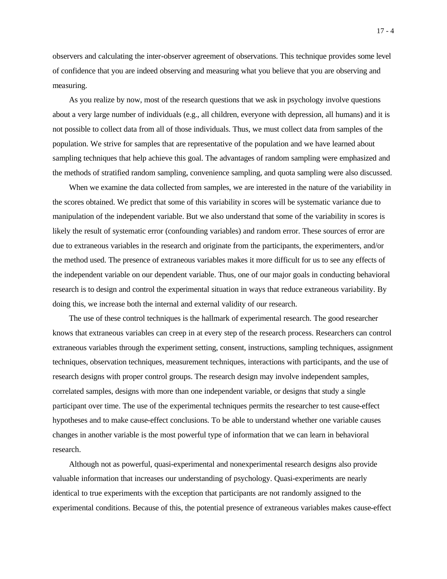observers and calculating the inter-observer agreement of observations. This technique provides some level of confidence that you are indeed observing and measuring what you believe that you are observing and measuring.

As you realize by now, most of the research questions that we ask in psychology involve questions about a very large number of individuals (e.g., all children, everyone with depression, all humans) and it is not possible to collect data from all of those individuals. Thus, we must collect data from samples of the population. We strive for samples that are representative of the population and we have learned about sampling techniques that help achieve this goal. The advantages of random sampling were emphasized and the methods of stratified random sampling, convenience sampling, and quota sampling were also discussed.

When we examine the data collected from samples, we are interested in the nature of the variability in the scores obtained. We predict that some of this variability in scores will be systematic variance due to manipulation of the independent variable. But we also understand that some of the variability in scores is likely the result of systematic error (confounding variables) and random error. These sources of error are due to extraneous variables in the research and originate from the participants, the experimenters, and/or the method used. The presence of extraneous variables makes it more difficult for us to see any effects of the independent variable on our dependent variable. Thus, one of our major goals in conducting behavioral research is to design and control the experimental situation in ways that reduce extraneous variability. By doing this, we increase both the internal and external validity of our research.

The use of these control techniques is the hallmark of experimental research. The good researcher knows that extraneous variables can creep in at every step of the research process. Researchers can control extraneous variables through the experiment setting, consent, instructions, sampling techniques, assignment techniques, observation techniques, measurement techniques, interactions with participants, and the use of research designs with proper control groups. The research design may involve independent samples, correlated samples, designs with more than one independent variable, or designs that study a single participant over time. The use of the experimental techniques permits the researcher to test cause-effect hypotheses and to make cause-effect conclusions. To be able to understand whether one variable causes changes in another variable is the most powerful type of information that we can learn in behavioral research.

Although not as powerful, quasi-experimental and nonexperimental research designs also provide valuable information that increases our understanding of psychology. Quasi-experiments are nearly identical to true experiments with the exception that participants are not randomly assigned to the experimental conditions. Because of this, the potential presence of extraneous variables makes cause-effect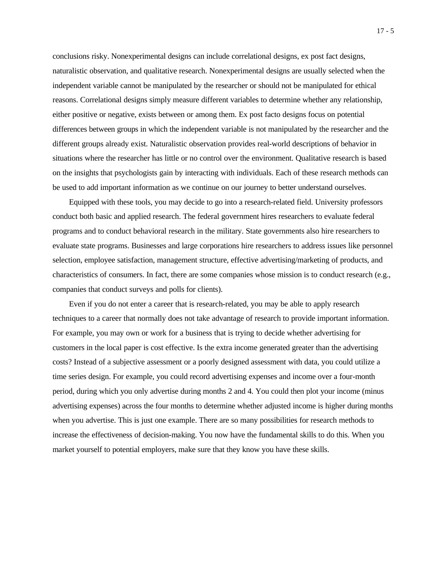conclusions risky. Nonexperimental designs can include correlational designs, ex post fact designs, naturalistic observation, and qualitative research. Nonexperimental designs are usually selected when the independent variable cannot be manipulated by the researcher or should not be manipulated for ethical reasons. Correlational designs simply measure different variables to determine whether any relationship, either positive or negative, exists between or among them. Ex post facto designs focus on potential differences between groups in which the independent variable is not manipulated by the researcher and the different groups already exist. Naturalistic observation provides real-world descriptions of behavior in situations where the researcher has little or no control over the environment. Qualitative research is based on the insights that psychologists gain by interacting with individuals. Each of these research methods can be used to add important information as we continue on our journey to better understand ourselves.

Equipped with these tools, you may decide to go into a research-related field. University professors conduct both basic and applied research. The federal government hires researchers to evaluate federal programs and to conduct behavioral research in the military. State governments also hire researchers to evaluate state programs. Businesses and large corporations hire researchers to address issues like personnel selection, employee satisfaction, management structure, effective advertising/marketing of products, and characteristics of consumers. In fact, there are some companies whose mission is to conduct research (e.g., companies that conduct surveys and polls for clients).

Even if you do not enter a career that is research-related, you may be able to apply research techniques to a career that normally does not take advantage of research to provide important information. For example, you may own or work for a business that is trying to decide whether advertising for customers in the local paper is cost effective. Is the extra income generated greater than the advertising costs? Instead of a subjective assessment or a poorly designed assessment with data, you could utilize a time series design. For example, you could record advertising expenses and income over a four-month period, during which you only advertise during months 2 and 4. You could then plot your income (minus advertising expenses) across the four months to determine whether adjusted income is higher during months when you advertise. This is just one example. There are so many possibilities for research methods to increase the effectiveness of decision-making. You now have the fundamental skills to do this. When you market yourself to potential employers, make sure that they know you have these skills.